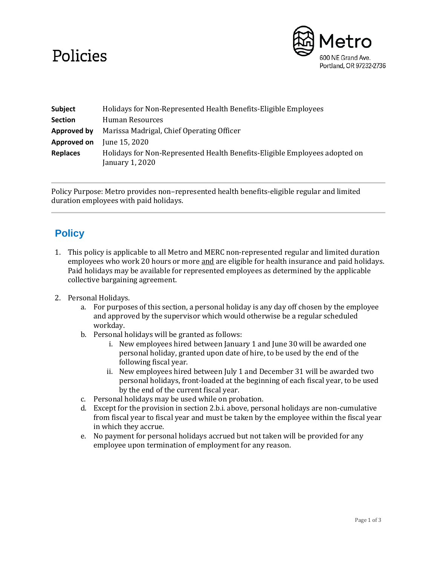## Policies



| <b>Subject</b>  | Holidays for Non-Represented Health Benefits-Eligible Employees                               |
|-----------------|-----------------------------------------------------------------------------------------------|
| <b>Section</b>  | Human Resources                                                                               |
| Approved by     | Marissa Madrigal, Chief Operating Officer                                                     |
| Approved on     | June 15, 2020                                                                                 |
| <b>Replaces</b> | Holidays for Non-Represented Health Benefits-Eligible Employees adopted on<br>January 1, 2020 |

Policy Purpose: Metro provides non–represented health benefits-eligible regular and limited duration employees with paid holidays.

## **Policy**

- 1. This policy is applicable to all Metro and MERC non-represented regular and limited duration employees who work 20 hours or more and are eligible for health insurance and paid holidays. Paid holidays may be available for represented employees as determined by the applicable collective bargaining agreement.
- 2. Personal Holidays.
	- a. For purposes of this section, a personal holiday is any day off chosen by the employee and approved by the supervisor which would otherwise be a regular scheduled workday.
	- b. Personal holidays will be granted as follows:
		- i. New employees hired between January 1 and June 30will be awarded one personal holiday, granted upon date of hire, to be used by the end of the following fiscal year.
		- ii. New employees hired between July 1 and December 31 will be awarded two personal holidays, front-loaded at the beginning of each fiscal year, to be used by the end of the current fiscal year.
	- c. Personal holidays may be used while on probation.
	- d. Except for the provision in section 2.b.i. above, personal holidays are non-cumulative from fiscal year to fiscal year and must be taken by the employee within the fiscal year in which they accrue.
	- e. No payment for personal holidays accrued but not taken will be provided for any employee upon termination of employment for any reason.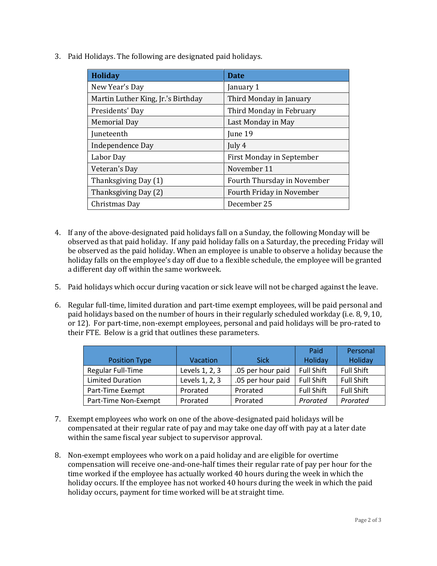3. Paid Holidays. The following are designated paid holidays.

| <b>Holiday</b>                     | <b>Date</b>                 |  |
|------------------------------------|-----------------------------|--|
| New Year's Day                     | January 1                   |  |
| Martin Luther King, Jr.'s Birthday | Third Monday in January     |  |
| Presidents' Day                    | Third Monday in February    |  |
| <b>Memorial Day</b>                | Last Monday in May          |  |
| Juneteenth                         | June 19                     |  |
| Independence Day                   | July 4                      |  |
| Labor Day                          | First Monday in September   |  |
| Veteran's Day                      | November 11                 |  |
| Thanksgiving Day (1)               | Fourth Thursday in November |  |
| Thanksgiving Day (2)               | Fourth Friday in November   |  |
| Christmas Day                      | December 25                 |  |

- 4. If any of the above-designated paid holidays fall on a Sunday, the following Monday will be observed as that paid holiday. If any paid holiday falls on a Saturday, the preceding Friday will be observed as the paid holiday. When an employee is unable to observe a holiday because the holiday falls on the employee's day off due to a flexible schedule, the employee will be granted a different day off within the same workweek.
- 5. Paid holidays which occur during vacation or sick leave will not be charged against the leave.
- 6. Regular full-time, limited duration and part-time exempt employees, will be paid personal and paid holidays based on the number of hours in their regularly scheduled workday (i.e. 8, 9, 10, or 12). For part-time, non-exempt employees, personal and paid holidays will be pro-rated to their FTE. Below is a grid that outlines these parameters.

|                         |                |                   | Paid              | Personal          |
|-------------------------|----------------|-------------------|-------------------|-------------------|
| <b>Position Type</b>    | Vacation       | <b>Sick</b>       | Holiday           | Holiday           |
| Regular Full-Time       | Levels 1, 2, 3 | .05 per hour paid | <b>Full Shift</b> | <b>Full Shift</b> |
| <b>Limited Duration</b> | Levels 1, 2, 3 | .05 per hour paid | <b>Full Shift</b> | <b>Full Shift</b> |
| Part-Time Exempt        | Prorated       | Prorated          | <b>Full Shift</b> | <b>Full Shift</b> |
| Part-Time Non-Exempt    | Prorated       | Prorated          | Prorated          | Prorated          |

- 7. Exempt employees who work on one of the above-designated paid holidays will be compensated at their regular rate of pay and may take one day off with pay at a later date within the same fiscal year subject to supervisor approval.
- 8. Non-exempt employees who work on a paid holiday and are eligible for overtime compensation will receive one-and-one-half times their regular rate of pay per hour for the time worked if the employee has actually worked 40 hours during the week in which the holiday occurs. If the employee has not worked 40 hours during the week in which the paid holiday occurs, payment for time worked will be at straight time.